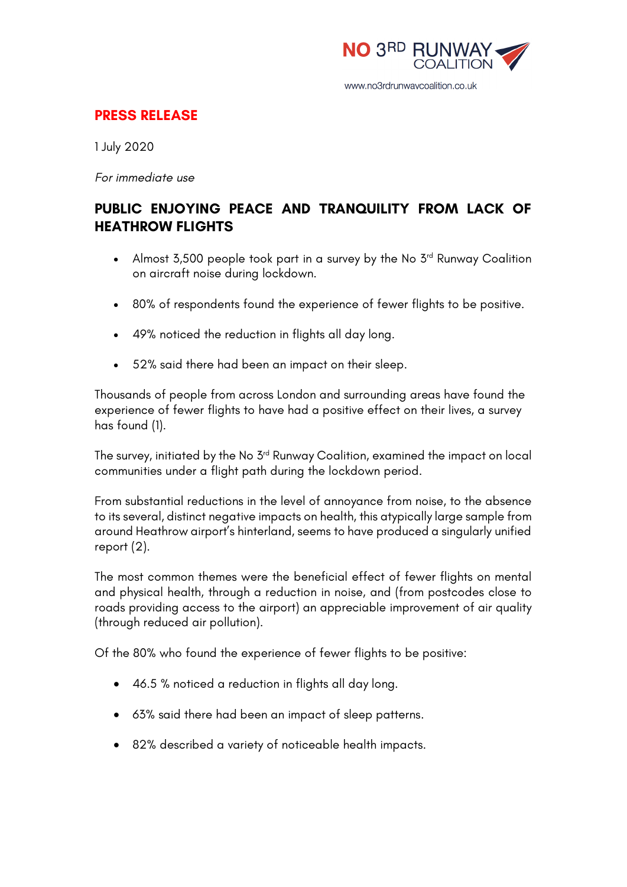

## **PRESS RELEASE**

1 July 2020

*For immediate use*

# **PUBLIC ENJOYING PEACE AND TRANQUILITY FROM LACK OF HEATHROW FLIGHTS**

- Almost 3,500 people took part in a survey by the No 3<sup>rd</sup> Runway Coalition on aircraft noise during lockdown.
- 80% of respondents found the experience of fewer flights to be positive.
- 49% noticed the reduction in flights all day long.
- 52% said there had been an impact on their sleep.

Thousands of people from across London and surrounding areas have found the experience of fewer flights to have had a positive effect on their lives, a survey has found (1).

The survey, initiated by the No 3<sup>rd</sup> Runway Coalition, examined the impact on local communities under a flight path during the lockdown period.

From substantial reductions in the level of annoyance from noise, to the absence to its several, distinct negative impacts on health, this atypically large sample from around Heathrow airport's hinterland, seems to have produced a singularly unified report (2).

The most common themes were the beneficial effect of fewer flights on mental and physical health, through a reduction in noise, and (from postcodes close to roads providing access to the airport) an appreciable improvement of air quality (through reduced air pollution).

Of the 80% who found the experience of fewer flights to be positive:

- 46.5 % noticed a reduction in flights all day long.
- 63% said there had been an impact of sleep patterns.
- 82% described a variety of noticeable health impacts.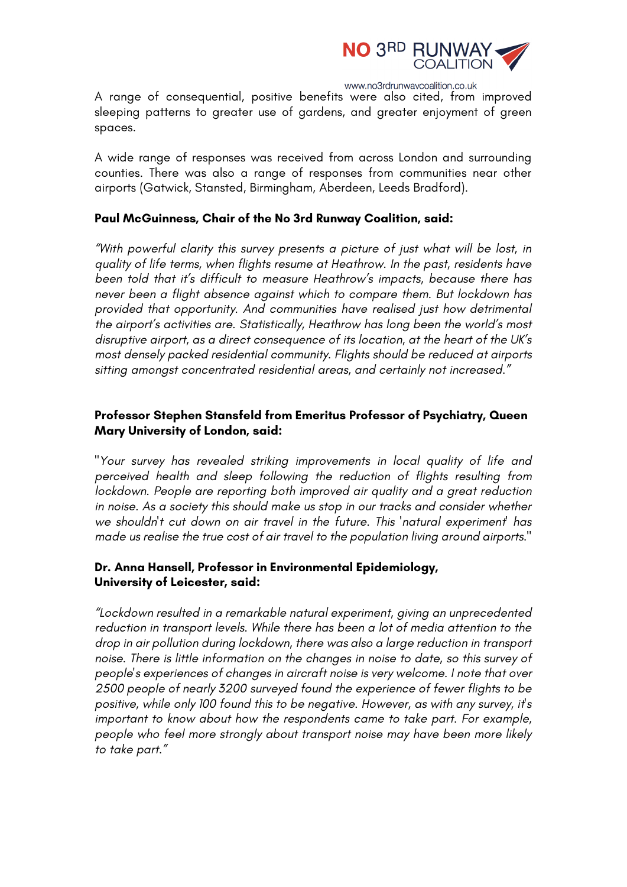

www.no3rdrunwaycoalition.co.uk

A range of consequential, positive benefits were also cited, from improved sleeping patterns to greater use of gardens, and greater enjoyment of green spaces.

A wide range of responses was received from across London and surrounding counties. There was also a range of responses from communities near other airports (Gatwick, Stansted, Birmingham, Aberdeen, Leeds Bradford).

#### **Paul McGuinness, Chair of the No 3rd Runway Coalition, said:**

*"With powerful clarity this survey presents a picture of just what will be lost, in quality of life terms, when flights resume at Heathrow. In the past, residents have been told that it's difficult to measure Heathrow's impacts, because there has never been a flight absence against which to compare them. But lockdown has provided that opportunity. And communities have realised just how detrimental the airport's activities are. Statistically, Heathrow has long been the world's most disruptive airport, as a direct consequence of its location, at the heart of the UK's most densely packed residential community. Flights should be reduced at airports sitting amongst concentrated residential areas, and certainly not increased."*

#### **Professor Stephen Stansfeld from Emeritus Professor of Psychiatry, Queen Mary University of London, said:**

*"Your survey has revealed striking improvements in local quality of life and perceived health and sleep following the reduction of flights resulting from lockdown. People are reporting both improved air quality and a great reduction in noise. As a society this should make us stop in our tracks and consider whether we shouldn't cut down on air travel in the future. This 'natural experiment' has made us realise the true cost of air travel to the population living around airports."*

#### **Dr. Anna Hansell, Professor in Environmental Epidemiology, University of Leicester, said:**

*"Lockdown resulted in a remarkable natural experiment, giving an unprecedented reduction in transport levels. While there has been a lot of media attention to the drop in air pollution during lockdown, there was also a large reduction in transport noise. There is little information on the changes in noise to date, so this survey of people's experiences of changes in aircraft noise is very welcome. I note that over 2500 people of nearly 3200 surveyed found the experience of fewer flights to be positive, while only 100 found this to be negative. However, as with any survey, it's important to know about how the respondents came to take part. For example, people who feel more strongly about transport noise may have been more likely to take part."*